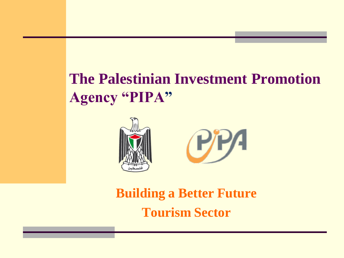## **The Palestinian Investment Promotion Agency "PIPA"**





**Building a Better Future Tourism Sector**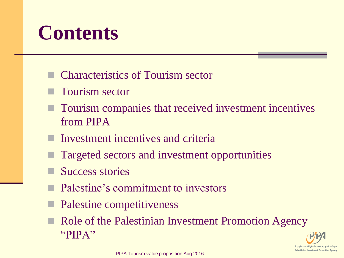# **Contents**

- Characteristics of Tourism sector
- **Tourism sector**
- **T** Tourism companies that received investment incentives from PIPA
- Investment incentives and criteria
- Targeted sectors and investment opportunities
- Success stories
- Palestine's commitment to investors
- Palestine competitiveness
- Role of the Palestinian Investment Promotion Agency "PIPA"

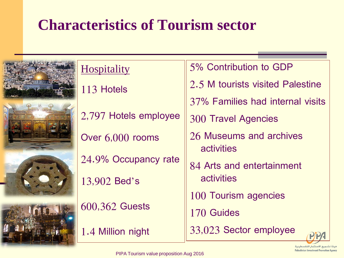## **Characteristics of Tourism sector**



|  | 70SDItal1t |  |  |  |
|--|------------|--|--|--|
|  |            |  |  |  |

113 Hotels

2,797 Hotels employee

Over 6,000 rooms

24.9% Occupancy rate

13,902 Bed's

600,362 Guests

1.4 Million night

5% Contribution to GDP 2.5 M tourists visited Palestine 37% Families had internal visits 300 Travel Agencies 26 Museums and archives activities 84 Arts and entertainment activities

100 Tourism agencies

170 Guides

33,023 Sector employee

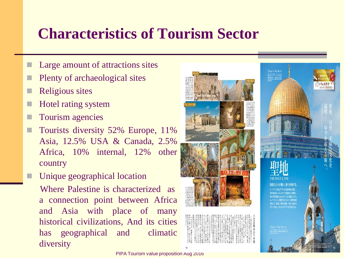### **Characteristics of Tourism Sector**

- Large amount of attractions sites
- Plenty of archaeological sites
- Religious sites
- Hotel rating system
- Tourism agencies
- Tourists diversity 52% Europe, 11% Asia, 12.5% USA & Canada, 2.5% Africa, 10% internal, 12% other country
- Unique geographical location

 Where Palestine is characterized as a connection point between Africa and Asia with place of many historical civilizations, And its cities has geographical and climatic diversity

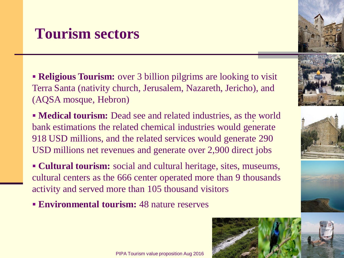### **Tourism sectors**

**Religious Tourism:** over 3 billion pilgrims are looking to visit Terra Santa (nativity church, Jerusalem, Nazareth, Jericho), and (AQSA mosque, Hebron)

**Medical tourism:** Dead see and related industries, as the world bank estimations the related chemical industries would generate 918 USD millions, and the related services would generate 290 USD millions net revenues and generate over 2,900 direct jobs

 **Cultural tourism:** social and cultural heritage, sites, museums, cultural centers as the 666 center operated more than 9 thousands activity and served more than 105 thousand visitors

**Environmental tourism:** 48 nature reserves









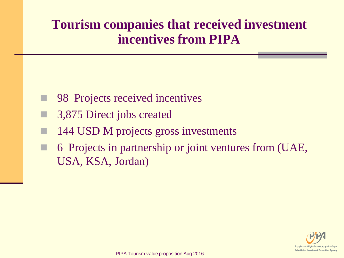### **Tourism companies that received investment incentives from PIPA**

- 98 Projects received incentives
- 3,875 Direct jobs created
- 144 USD M projects gross investments
- 6 Projects in partnership or joint ventures from (UAE, USA, KSA, Jordan)

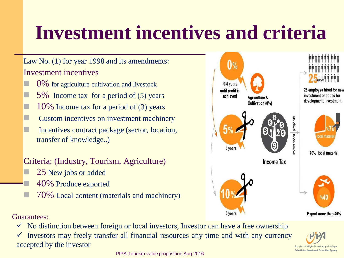# **Investment incentives and criteria**

#### Law No. (1) for year 1998 and its amendments: Investment incentives

- 0% for agriculture cultivation and livestock
- 5% Income tax for a period of (5) years
- $\Box$  10% Income tax for a period of (3) years
- Custom incentives on investment machinery
- Incentives contract package (sector, location, transfer of knowledge..)

#### Criteria: (Industry, Tourism, Agriculture)

- 25 New jobs or added
	- 40% Produce exported
- 70% Local content (materials and machinery)



Guarantees:

 $\checkmark$  No distinction between foreign or local investors, Investor can have a free ownership

 $\checkmark$  Investors may freely transfer all financial resources any time and with any currency accepted by the investor

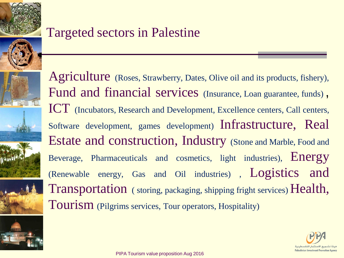

### Targeted sectors in Palestine









Agriculture (Roses, Strawberry, Dates, Olive oil and its products, fishery), Fund and financial services (Insurance, Loan guarantee, funds), ICT (Incubators, Research and Development, Excellence centers, Call centers, Software development, games development) Infrastructure, Real Estate and construction, Industry (Stone and Marble, Food and Beverage, Pharmaceuticals and cosmetics, light industries), Energy (Renewable energy, Gas and Oil industries) , Logistics and Transportation ( storing, packaging, shipping fright services) Health, Tourism (Pilgrims services, Tour operators, Hospitality)

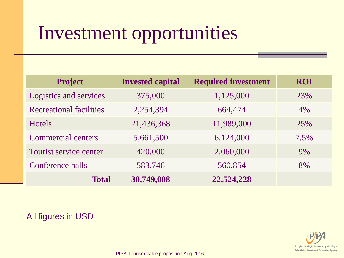# Investment opportunities

| <b>Project</b>                 | <b>Invested capital</b> | <b>Required investment</b> | <b>ROI</b> |
|--------------------------------|-------------------------|----------------------------|------------|
| Logistics and services         | 375,000                 | 1,125,000                  | 23%        |
| <b>Recreational facilities</b> | 2,254,394               | 664,474                    | 4%         |
| <b>Hotels</b>                  | 21,436,368              | 11,989,000                 | 25%        |
| <b>Commercial centers</b>      | 5,661,500               | 6,124,000                  | 7.5%       |
| Tourist service center         | 420,000                 | 2,060,000                  | 9%         |
| Conference halls               | 583,746                 | 560,854                    | 8%         |
| <b>Total</b>                   | 30,749,008              | 22,524,228                 |            |

#### All figures in USD

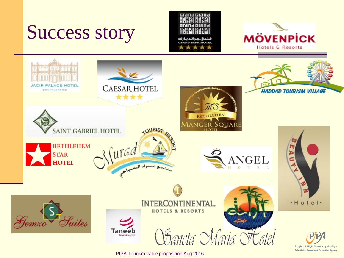Success story







PIPA Tourism value proposition Aug 2016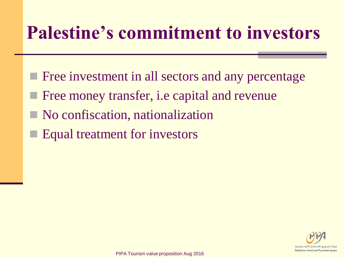# **Palestine's commitment to investors**

- **Figure 12** Free investment in all sectors and any percentage
- Free money transfer, i.e capital and revenue
- No confiscation, nationalization
- Equal treatment for investors

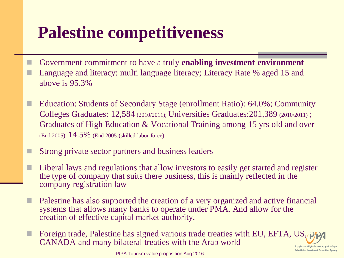## **Palestine competitiveness**

- Government commitment to have a truly **enabling investment environment** Language and literacy: multi language literacy; Literacy Rate % aged 15 and above is 95.3%
- Education: Students of Secondary Stage (enrollment Ratio): 64.0%; Community Colleges Graduates: 12,584 (2010/2011); Universities Graduates:201,389 (2010/2011) ; Graduates of High Education & Vocational Training among 15 yrs old and over (End 2005): 14.5% (End 2005)(skilled labor force)
- Strong private sector partners and business leaders
- Liberal laws and regulations that allow investors to easily get started and register the type of company that suits there business, this is mainly reflected in the company registration law
- Palestine has also supported the creation of a very organized and active financial systems that allows many banks to operate under PMA. And allow for the creation of effective capital market authority.
- Foreign trade, Palestine has signed various trade treaties with EU, EFTA, US, CANADA and many bilateral treaties with the Arab worldـع الاسـتثمار الفلسطـنا

**Palestinian Investment Promotion Agenc**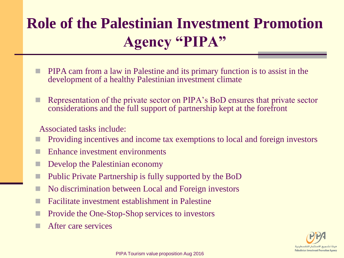## **Role of the Palestinian Investment Promotion Agency "PIPA"**

- PIPA cam from a law in Palestine and its primary function is to assist in the development of a healthy Palestinian investment climate
- Representation of the private sector on PIPA's BoD ensures that private sector considerations and the full support of partnership kept at the forefront

#### Associated tasks include:

- Providing incentives and income tax exemptions to local and foreign investors
- **Enhance investment environments**
- **Develop the Palestinian economy**
- **Public Private Partnership is fully supported by the BoD**
- No discrimination between Local and Foreign investors
- Facilitate investment establishment in Palestine
- **Provide the One-Stop-Shop services to investors**
- **After care services**